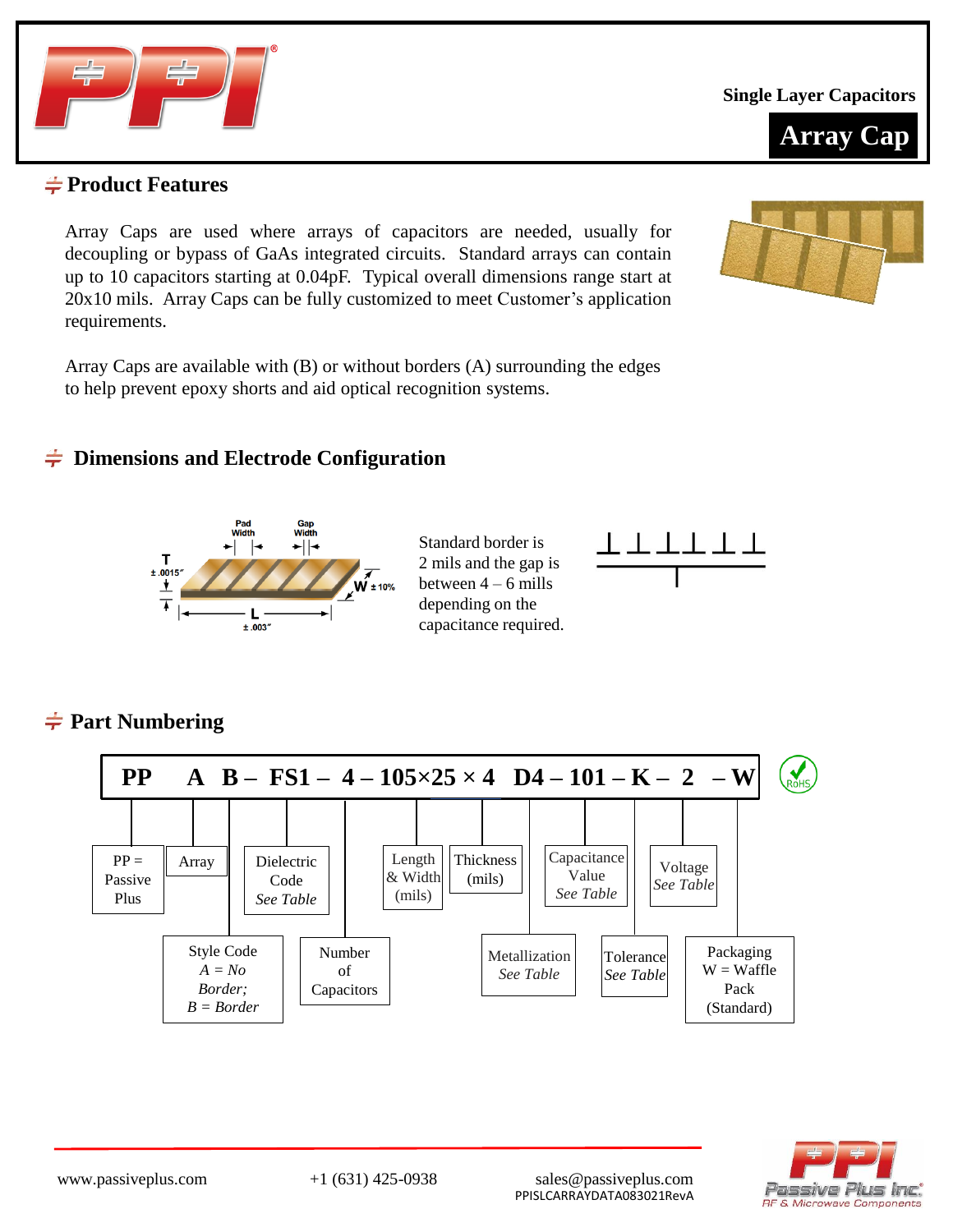

**Single Layer Capacitors**



### **Product Features**

Array Caps are used where arrays of capacitors are needed, usually for decoupling or bypass of GaAs integrated circuits. Standard arrays can contain up to 10 capacitors starting at 0.04pF. Typical overall dimensions range start at 20x10 mils. Array Caps can be fully customized to meet Customer's application requirements.

Array Caps are available with (B) or without borders (A) surrounding the edges to help prevent epoxy shorts and aid optical recognition systems.

### **Dimensions and Electrode Configuration**



Standard border is 2 mils and the gap is between 4 – 6 mills depending on the capacitance required.



# **Part Numbering**



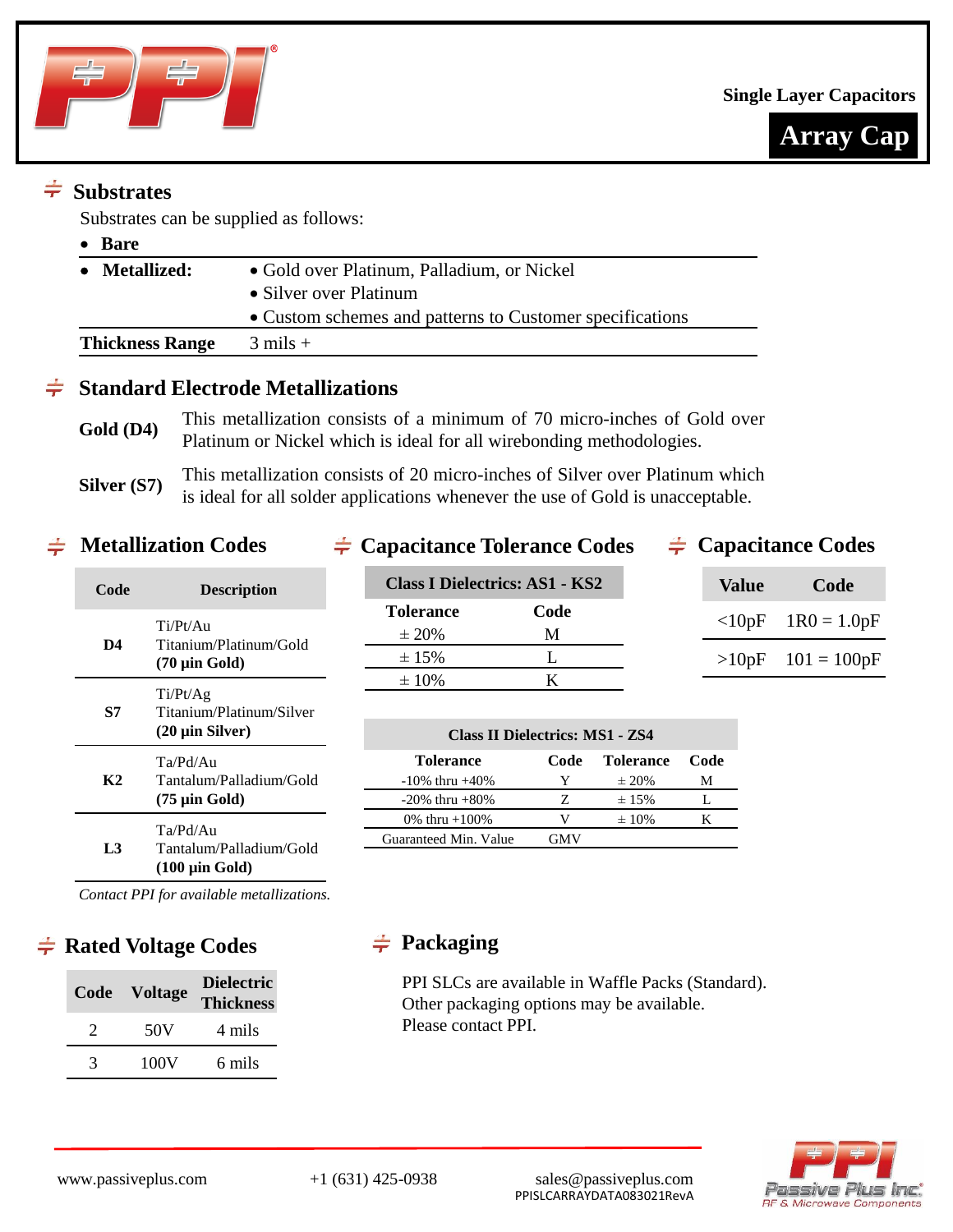



# $\div$  Substrates

Substrates can be supplied as follows:

| Bare                   |                                                          |
|------------------------|----------------------------------------------------------|
| <b>Metallized:</b>     | • Gold over Platinum, Palladium, or Nickel               |
|                        | • Silver over Platinum                                   |
|                        | • Custom schemes and patterns to Customer specifications |
| <b>Thickness Range</b> | $3 \text{ miles} +$                                      |

# **Standard Electrode Metallizations**

Gold (D4) This metallization consists of a minimum of 70 micro-inches of Gold over Platinum or Nickel which is ideal for all wirebonding methodologies.

**Silver (S7)** This metallization consists of 20 micro-inches of Silver over Platinum which is ideal for all solder applications whenever the use of Gold is unacceptable.

## **Metallization Codes**  $\div$  Capacitance Tolerance Codes  $\div$  Capacitance Codes

| Code | <b>Description</b>                                                                        |
|------|-------------------------------------------------------------------------------------------|
| D4   | Ti/Pt/Au<br>Titanium/Platinum/Gold<br>$(70 \mu m)$ Gold)                                  |
| S7   | Ti/Pt/Ag<br>Titanium/Platinum/Silver<br>$(20 \mu \text{in Silver})$                       |
| K2   | Ta/Pd/Au<br>Tantalum/Palladium/Gold<br>$(75 \text{ } \mu \text{in} \text{ } \text{Gold})$ |
| L3   | Ta/Pd/Au<br>Tantalum/Palladium/Gold<br>$(100 \mu \text{in} \text{Gold})$                  |
|      | Contact PPI for available metallizations                                                  |

| Class I Dielectrics: AS1 - KS2 |      |  |  |  |  |  |  |  |  |
|--------------------------------|------|--|--|--|--|--|--|--|--|
| <b>Tolerance</b>               | Code |  |  |  |  |  |  |  |  |
| $\pm 20\%$                     | М    |  |  |  |  |  |  |  |  |
| $\pm 15\%$                     |      |  |  |  |  |  |  |  |  |
| $\pm 10\%$                     |      |  |  |  |  |  |  |  |  |

| Value    | Code          |
|----------|---------------|
| $<$ 10pF | $1R0 = 1.0pF$ |
| >10pF    | $101 = 100pF$ |

| <b>Class II Dielectrics: MS1 - ZS4</b> |      |                  |      |  |  |  |  |  |  |  |  |
|----------------------------------------|------|------------------|------|--|--|--|--|--|--|--|--|
| <b>Tolerance</b>                       | Code | <b>Tolerance</b> | Code |  |  |  |  |  |  |  |  |
| $-10\%$ thru $+40\%$                   | Y    | $\pm 20\%$       | м    |  |  |  |  |  |  |  |  |
| $-20\%$ thru $+80\%$                   | Z    | $\pm 15\%$       |      |  |  |  |  |  |  |  |  |
| 0% thru $+100%$                        | V    | $\pm 10\%$       |      |  |  |  |  |  |  |  |  |
| Guaranteed Min. Value                  | GMV  |                  |      |  |  |  |  |  |  |  |  |

*Contact PPI for available metallizations.*

# $\div$  **Rated Voltage Codes** →  $\div$  Packaging

| Code | <b>Voltage</b> | <b>Dielectric</b><br><b>Thickness</b> |
|------|----------------|---------------------------------------|
| 7    | 50 V           | 4 mils                                |
| 3    | 100V           | 6 mils                                |

PPI SLCs are available in Waffle Packs (Standard). Other packaging options may be available. Please contact PPI.

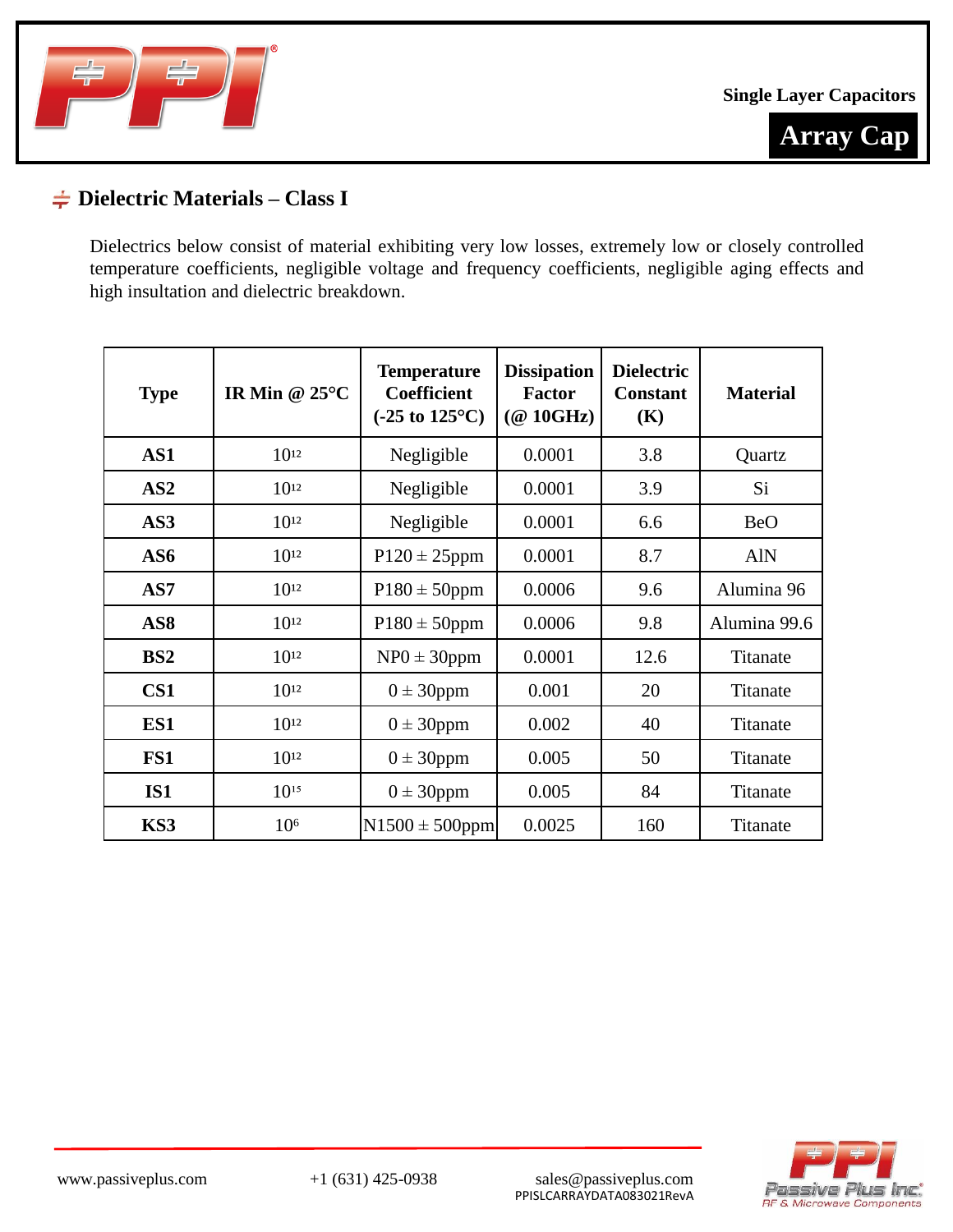



# **Dielectric Materials – Class I**

Dielectrics below consist of material exhibiting very low losses, extremely low or closely controlled temperature coefficients, negligible voltage and frequency coefficients, negligible aging effects and high insultation and dielectric breakdown.

| <b>Type</b>     | IR Min @ $25^{\circ}$ C | <b>Temperature</b><br><b>Coefficient</b><br>$(-25 \text{ to } 125^{\circ}\text{C})$ | <b>Dissipation</b><br><b>Factor</b><br>$(\textcircled{a}$ 10GHz) | <b>Dielectric</b><br><b>Constant</b><br>(K) | <b>Material</b> |
|-----------------|-------------------------|-------------------------------------------------------------------------------------|------------------------------------------------------------------|---------------------------------------------|-----------------|
| AS1             | $10^{12}$               | Negligible                                                                          | 0.0001                                                           | 3.8                                         | Quartz          |
| AS2             | $10^{12}$               | Negligible                                                                          | 0.0001                                                           | 3.9                                         | Si              |
| AS3             | $10^{12}$               | Negligible                                                                          | 0.0001                                                           | 6.6                                         | <b>BeO</b>      |
| AS6             | $10^{12}$               | $P120 \pm 25$ ppm                                                                   | 0.0001                                                           | 8.7                                         | <b>AlN</b>      |
| AS7             | $10^{12}$               | $P180 \pm 50$ ppm                                                                   | 0.0006                                                           | 9.6                                         | Alumina 96      |
| AS <sub>8</sub> | $10^{12}$               | $P180 \pm 50$ ppm                                                                   | 0.0006                                                           | 9.8                                         | Alumina 99.6    |
| BS2             | $10^{12}$               | $NP0 \pm 30$ ppm                                                                    | 0.0001                                                           | 12.6                                        | Titanate        |
| CS <sub>1</sub> | $10^{12}$               | $0 \pm 30$ ppm                                                                      | 0.001                                                            | 20                                          | Titanate        |
| ES1             | $10^{12}$               | $0 \pm 30$ ppm                                                                      | 0.002                                                            | 40                                          | Titanate        |
| FS1             | $10^{12}$               | $0 \pm 30$ ppm                                                                      | 0.005                                                            | 50                                          | Titanate        |
| <b>IS1</b>      | $10^{15}$               | $0 \pm 30$ ppm                                                                      | 0.005                                                            | 84                                          | Titanate        |
| KS3             | 10 <sup>6</sup>         | $N1500 \pm 500$ ppm                                                                 | 0.0025                                                           | 160                                         | Titanate        |

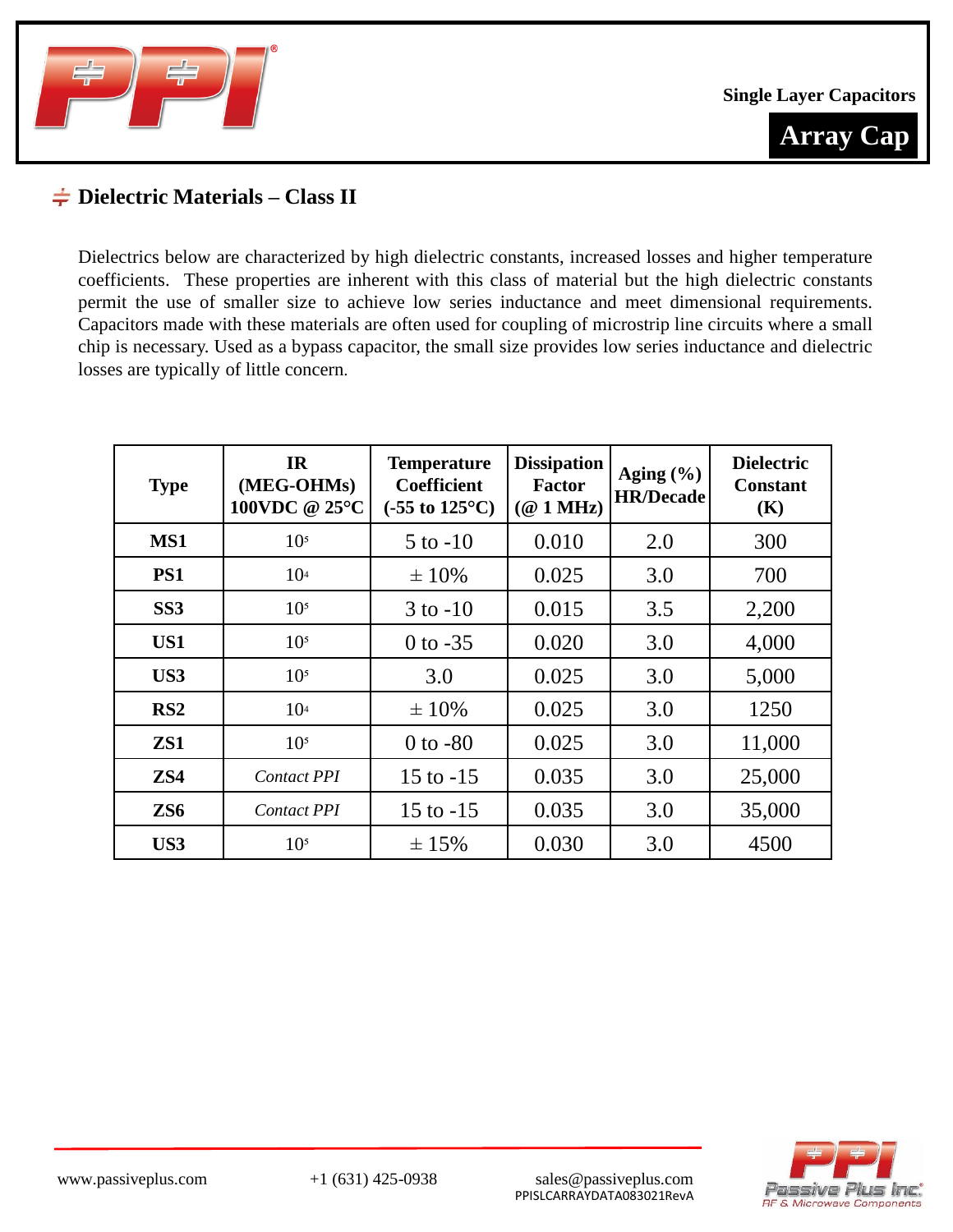



### **Dielectric Materials – Class II**

Dielectrics below are characterized by high dielectric constants, increased losses and higher temperature coefficients. These properties are inherent with this class of material but the high dielectric constants permit the use of smaller size to achieve low series inductance and meet dimensional requirements. Capacitors made with these materials are often used for coupling of microstrip line circuits where a small chip is necessary. Used as a bypass capacitor, the small size provides low series inductance and dielectric losses are typically of little concern.

| <b>Type</b>     | IR<br>(MEG-OHMs)<br>100VDC @ 25°C | <b>Temperature</b><br><b>Coefficient</b><br>$(-55 \text{ to } 125^{\circ}\text{C})$ | <b>Dissipation</b><br><b>Factor</b><br>$(\textcircled{a} 1 \text{ MHz})$ | Aging $(\% )$<br><b>HR/Decade</b> | <b>Dielectric</b><br><b>Constant</b><br>(K) |
|-----------------|-----------------------------------|-------------------------------------------------------------------------------------|--------------------------------------------------------------------------|-----------------------------------|---------------------------------------------|
| MS1             | 10 <sup>5</sup>                   | $5$ to $-10$                                                                        | 0.010                                                                    | 2.0                               | 300                                         |
| PS1             | 10 <sup>4</sup>                   | $\pm 10\%$                                                                          | 0.025                                                                    | 3.0                               | 700                                         |
| SS <sub>3</sub> | 10 <sup>5</sup>                   | $3$ to $-10$                                                                        | 0.015                                                                    | 3.5                               | 2,200                                       |
| US1             | 10 <sup>5</sup>                   | $0$ to $-35$                                                                        | 0.020                                                                    | 3.0                               | 4,000                                       |
| US3             | 10 <sup>5</sup>                   | 3.0                                                                                 | 0.025                                                                    | 3.0                               | 5,000                                       |
| RS <sub>2</sub> | 10 <sup>4</sup>                   | $\pm 10\%$                                                                          | 0.025                                                                    | 3.0                               | 1250                                        |
| ZS1             | 10 <sup>5</sup>                   | $0$ to $-80$                                                                        | 0.025                                                                    | 3.0                               | 11,000                                      |
| ZS4             | <b>Contact PPI</b>                | 15 to $-15$                                                                         | 0.035                                                                    | 3.0                               | 25,000                                      |
| ZS <sub>6</sub> | <b>Contact PPI</b>                | 15 to $-15$                                                                         | 0.035                                                                    | 3.0                               | 35,000                                      |
| US3             | 10 <sup>5</sup>                   | $\pm 15\%$                                                                          | 0.030                                                                    | 3.0                               | 4500                                        |

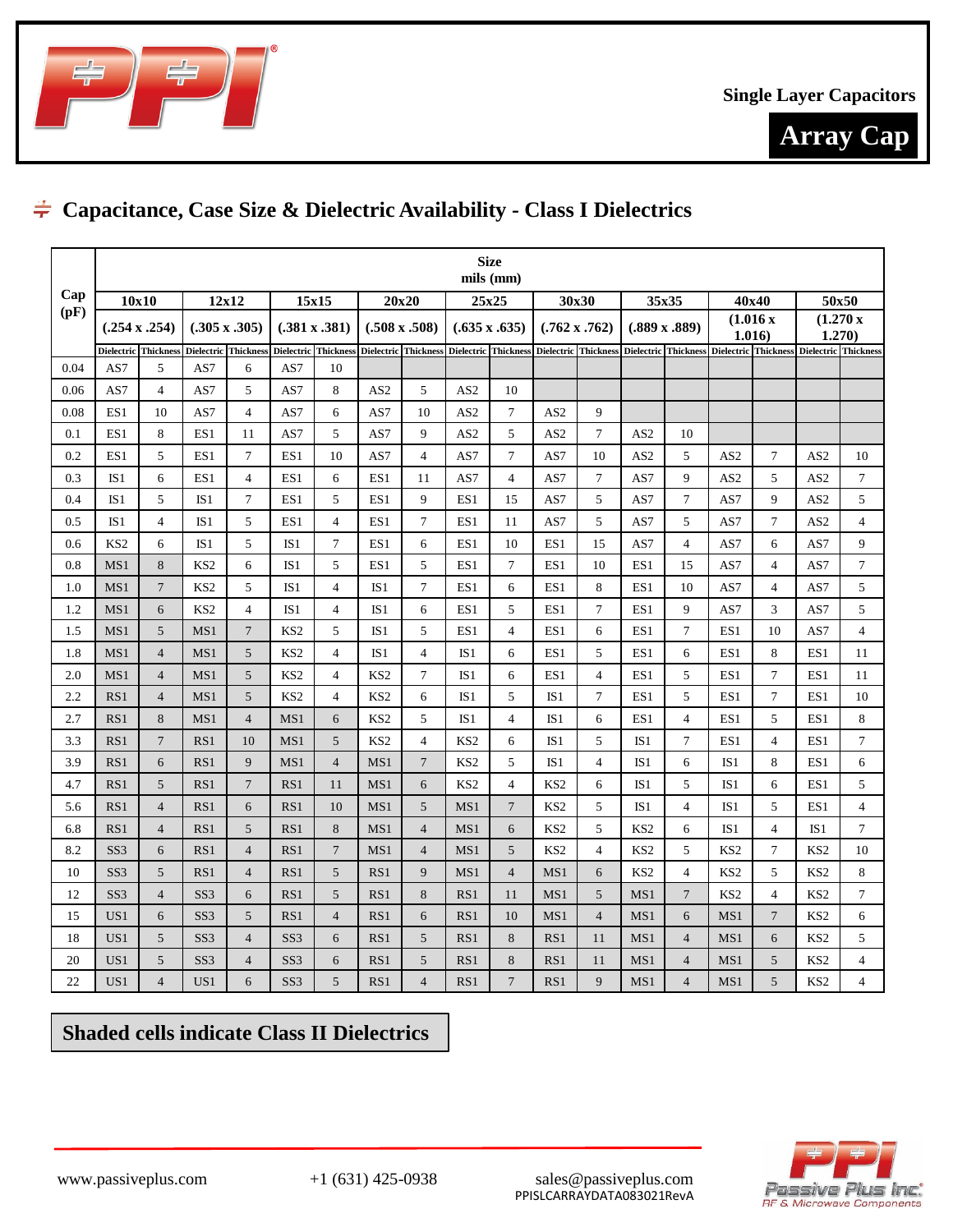



# **Capacitance, Case Size & Dielectric Availability - Class I Dielectrics**

|         | <b>Size</b><br>mils (mm) |                      |                      |                |                      |                |                 |                      |                 |                      |                 |                      |                 |                      |                    |                |                                                                                                                                                                                                                              |                |
|---------|--------------------------|----------------------|----------------------|----------------|----------------------|----------------|-----------------|----------------------|-----------------|----------------------|-----------------|----------------------|-----------------|----------------------|--------------------|----------------|------------------------------------------------------------------------------------------------------------------------------------------------------------------------------------------------------------------------------|----------------|
| Cap     | 10x10                    |                      | 12x12<br>15x15       |                |                      |                | 20x20<br>25x25  |                      |                 |                      | 30x30           |                      | 35x35           |                      | 40x40              | 50x50          |                                                                                                                                                                                                                              |                |
| (pF)    |                          | $(.254 \times .254)$ | $(.305 \times .305)$ |                | $(.381 \times .381)$ |                |                 | $(.508 \times .508)$ |                 | $(.635 \times .635)$ |                 | $(.762 \times .762)$ |                 | $(.889 \times .889)$ | (1.016 x)<br>1.016 |                | (1.270 x<br>1.270)                                                                                                                                                                                                           |                |
|         |                          |                      |                      |                |                      |                |                 |                      |                 |                      |                 |                      |                 |                      |                    |                | Dielectric  Thickness   Dielectric  Thickness   Dielectric   Thickness   Dielectric   Thickness   Dielectric   Thickness   Dielectric   Thickness   Dielectric   Thickness   Dielectric   Thickness   Dielectric   Thickness |                |
| 0.04    | AS7                      | 5                    | AS7                  | 6              | AS7                  | 10             |                 |                      |                 |                      |                 |                      |                 |                      |                    |                |                                                                                                                                                                                                                              |                |
| 0.06    | AS7                      | $\overline{4}$       | AS7                  | 5              | AS7                  | 8              | AS <sub>2</sub> | 5                    | AS <sub>2</sub> | 10                   |                 |                      |                 |                      |                    |                |                                                                                                                                                                                                                              |                |
| 0.08    | ES1                      | 10                   | AS7                  | $\overline{4}$ | AS7                  | 6              | AS7             | 10                   | AS <sub>2</sub> | $\tau$               | AS <sub>2</sub> | 9                    |                 |                      |                    |                |                                                                                                                                                                                                                              |                |
| 0.1     | ES1                      | 8                    | ES1                  | 11             | AS7                  | 5              | AS7             | 9                    | AS <sub>2</sub> | 5                    | AS <sub>2</sub> | $\tau$               | AS <sub>2</sub> | 10                   |                    |                |                                                                                                                                                                                                                              |                |
| 0.2     | ES1                      | 5                    | ES1                  | $\overline{7}$ | ES1                  | 10             | AS7             | $\overline{4}$       | AS7             | $\overline{7}$       | AS7             | 10                   | AS <sub>2</sub> | 5                    | AS <sub>2</sub>    | $\tau$         | AS <sub>2</sub>                                                                                                                                                                                                              | 10             |
| 0.3     | IS1                      | 6                    | ES1                  | $\overline{4}$ | ES1                  | 6              | ES1             | 11                   | AS7             | $\overline{4}$       | AS7             | $\tau$               | AS7             | 9                    | AS <sub>2</sub>    | 5              | AS <sub>2</sub>                                                                                                                                                                                                              | $\tau$         |
| 0.4     | IS <sub>1</sub>          | 5                    | IS <sub>1</sub>      | 7              | ES1                  | 5              | ES1             | 9                    | ES1             | 15                   | AS7             | 5                    | AS7             | $\tau$               | AS7                | 9              | AS <sub>2</sub>                                                                                                                                                                                                              | 5              |
| $0.5\,$ | IS1                      | $\overline{4}$       | IS <sub>1</sub>      | 5              | ES1                  | $\overline{4}$ | ES1             | $7\phantom{.0}$      | ES1             | 11                   | AS7             | 5                    | AS7             | 5                    | AS7                | $\tau$         | AS <sub>2</sub>                                                                                                                                                                                                              | $\overline{4}$ |
| 0.6     | KS <sub>2</sub>          | 6                    | IS <sub>1</sub>      | 5              | IS <sub>1</sub>      | $\overline{7}$ | ES1             | 6                    | ES1             | 10                   | ES1             | 15                   | AS7             | $\overline{4}$       | AS7                | 6              | AS7                                                                                                                                                                                                                          | 9              |
| 0.8     | MS1                      | 8                    | KS <sub>2</sub>      | 6              | IS <sub>1</sub>      | 5              | ES1             | 5                    | ES1             | $\tau$               | ES1             | 10                   | ES1             | 15                   | AS7                | $\overline{4}$ | AS7                                                                                                                                                                                                                          | $\tau$         |
| 1.0     | MS1                      | $\overline{7}$       | KS <sub>2</sub>      | 5              | IS1                  | $\overline{4}$ | IS1             | $\overline{7}$       | ES1             | 6                    | ES1             | 8                    | ES1             | 10                   | AS7                | $\overline{4}$ | AS7                                                                                                                                                                                                                          | 5              |
| 1.2     | MS1                      | 6                    | KS <sub>2</sub>      | 4              | IS <sub>1</sub>      | 4              | IS <sub>1</sub> | 6                    | ES1             | 5                    | ES1             | $\tau$               | ES1             | 9                    | AS7                | 3              | AS7                                                                                                                                                                                                                          | 5              |
| 1.5     | MS1                      | 5                    | MS1                  | $\overline{7}$ | KS <sub>2</sub>      | 5              | IS1             | 5                    | ES1             | $\overline{4}$       | ES1             | 6                    | ES1             | $\tau$               | ES1                | 10             | AS7                                                                                                                                                                                                                          | $\overline{4}$ |
| 1.8     | MS1                      | $\overline{4}$       | MS1                  | 5              | KS <sub>2</sub>      | 4              | IS <sub>1</sub> | $\overline{4}$       | IS <sub>1</sub> | 6                    | ES1             | 5                    | ES1             | 6                    | ES1                | 8              | ES1                                                                                                                                                                                                                          | 11             |
| 2.0     | MS1                      | $\overline{4}$       | MS1                  | 5              | KS <sub>2</sub>      | 4              | KS <sub>2</sub> | $\tau$               | IS1             | 6                    | ES1             | $\overline{4}$       | ES1             | 5                    | ES1                | $\overline{7}$ | ES1                                                                                                                                                                                                                          | 11             |
| 2.2     | RS1                      | $\overline{4}$       | MS1                  | 5              | KS <sub>2</sub>      | $\overline{4}$ | KS <sub>2</sub> | 6                    | IS1             | 5                    | IS1             | $\tau$               | ES1             | 5                    | ES1                | $\overline{7}$ | ES1                                                                                                                                                                                                                          | 10             |
| 2.7     | RS1                      | 8                    | MS1                  | $\overline{4}$ | MS1                  | 6              | KS <sub>2</sub> | 5                    | IS <sub>1</sub> | $\overline{4}$       | IS <sub>1</sub> | 6                    | ES1             | $\overline{4}$       | ES1                | 5              | ES1                                                                                                                                                                                                                          | 8              |
| 3.3     | RS1                      | $\overline{7}$       | RS1                  | 10             | MS1                  | 5              | KS <sub>2</sub> | $\overline{4}$       | KS <sub>2</sub> | 6                    | IS1             | 5                    | IS1             | $\tau$               | ES1                | $\overline{4}$ | ES1                                                                                                                                                                                                                          | $\tau$         |
| 3.9     | RS1                      | 6                    | RS1                  | 9              | MS1                  | $\overline{4}$ | MS1             | $\overline{7}$       | KS <sub>2</sub> | 5                    | IS1             | $\overline{4}$       | IS1             | 6                    | IS1                | 8              | ES1                                                                                                                                                                                                                          | 6              |
| 4.7     | RS1                      | 5                    | RS1                  | $\overline{7}$ | RS1                  | 11             | MS1             | 6                    | KS <sub>2</sub> | $\overline{4}$       | KS <sub>2</sub> | 6                    | IS <sub>1</sub> | 5                    | IS <sub>1</sub>    | 6              | ES1                                                                                                                                                                                                                          | 5              |
| 5.6     | RS1                      | $\overline{4}$       | RS1                  | 6              | RS1                  | 10             | MS1             | 5                    | MS1             | $\overline{7}$       | KS <sub>2</sub> | 5                    | IS1             | $\overline{4}$       | IS1                | 5              | ES1                                                                                                                                                                                                                          | $\overline{4}$ |
| 6.8     | RS1                      | $\overline{4}$       | RS1                  | 5              | RS1                  | 8              | MS1             | $\overline{4}$       | MS1             | 6                    | KS <sub>2</sub> | 5                    | KS <sub>2</sub> | 6                    | IS1                | $\overline{4}$ | IS1                                                                                                                                                                                                                          | $\overline{7}$ |
| 8.2     | SS <sub>3</sub>          | 6                    | RS1                  | $\overline{4}$ | RS1                  | $\overline{7}$ | MS1             | $\overline{4}$       | MS1             | 5                    | KS <sub>2</sub> | $\overline{4}$       | KS <sub>2</sub> | 5                    | KS <sub>2</sub>    | $\tau$         | KS <sub>2</sub>                                                                                                                                                                                                              | 10             |
| 10      | SS <sub>3</sub>          | 5                    | RS1                  | $\overline{4}$ | RS1                  | 5              | RS1             | 9                    | MS1             | $\overline{4}$       | MS1             | 6                    | KS <sub>2</sub> | $\overline{4}$       | KS <sub>2</sub>    | 5              | KS <sub>2</sub>                                                                                                                                                                                                              | 8              |
| 12      | SS <sub>3</sub>          | $\overline{4}$       | SS <sub>3</sub>      | 6              | RS1                  | 5              | RS1             | 8                    | RS1             | 11                   | MS1             | 5                    | MS1             | $7\phantom{.0}$      | KS <sub>2</sub>    | 4              | KS <sub>2</sub>                                                                                                                                                                                                              | $\tau$         |
| 15      | US1                      | 6                    | SS <sub>3</sub>      | 5              | RS1                  | $\overline{4}$ | RS1             | 6                    | RS1             | 10                   | MS1             | $\overline{4}$       | MS1             | 6                    | MS1                | $\overline{7}$ | KS <sub>2</sub>                                                                                                                                                                                                              | 6              |
| 18      | US1                      | 5                    | SS <sub>3</sub>      | $\overline{4}$ | SS <sub>3</sub>      | 6              | RS1             | 5                    | RS1             | 8                    | RS1             | 11                   | MS1             | $\overline{4}$       | MS1                | 6              | KS <sub>2</sub>                                                                                                                                                                                                              | 5              |
| 20      | US1                      | 5                    | SS <sub>3</sub>      | $\overline{4}$ | SS <sub>3</sub>      | 6              | RS1             | 5                    | RS1             | $\,8\,$              | RS1             | 11                   | MS1             | $\overline{4}$       | MS1                | 5              | KS <sub>2</sub>                                                                                                                                                                                                              | $\overline{4}$ |
| 22      | US <sub>1</sub>          | $\overline{4}$       | US1                  | 6              | SS <sub>3</sub>      | 5              | RS1             | $\overline{4}$       | RS1             | $\overline{7}$       | RS1             | 9                    | MS1             | $\overline{4}$       | MS1                | 5              | KS <sub>2</sub>                                                                                                                                                                                                              | $\overline{4}$ |

# **Shaded cells indicate Class II Dielectrics**

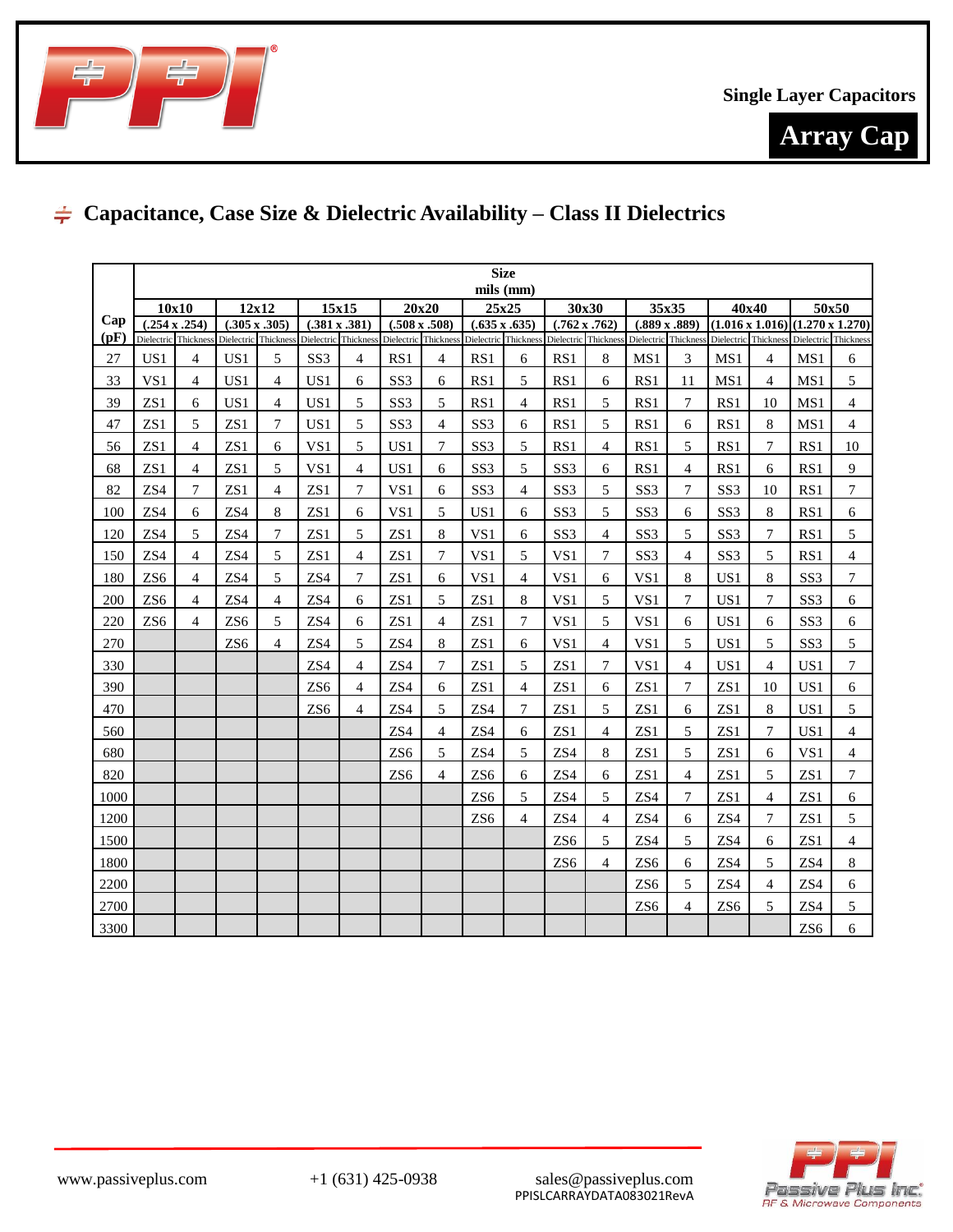



# **Capacitance, Case Size & Dielectric Availability – Class II Dielectrics**

|      | <b>Size</b>     |                                              |                      |                      |                                              |                |                      |                |                                                                   |                |                      |                      |                      |                      |                 |                          |                                                                     |                |
|------|-----------------|----------------------------------------------|----------------------|----------------------|----------------------------------------------|----------------|----------------------|----------------|-------------------------------------------------------------------|----------------|----------------------|----------------------|----------------------|----------------------|-----------------|--------------------------|---------------------------------------------------------------------|----------------|
|      |                 |                                              |                      |                      |                                              |                |                      |                |                                                                   | mils (mm)      |                      |                      |                      |                      |                 |                          |                                                                     |                |
| Cap  |                 | 10x10                                        |                      | 12x12                | 15x15                                        |                | 20x20                |                | 25x25                                                             |                | 30x30                |                      | 35x35                |                      | 40x40           |                          | 50x50                                                               |                |
| (pF) |                 | $(.254 \times .254)$<br>Dielectric Thickness | $(.305 \times .305)$ | Dielectric Thickness | $(.381 \times .381)$<br>Dielectric Thickness |                | $(.508 \times .508)$ |                | $(.635 \times .635)$<br>Dielectric Thickness Dielectric Thickness |                | $(.762 \times .762)$ | Dielectric Thickness | $(.889 \times .889)$ | Dielectric Thickness |                 | Dielectric Thickness     | $(1.016 \times 1.016) (1.270 \times 1.270)$<br>Dielectric Thickness |                |
| 27   | US1             | 4                                            | US1                  | 5                    | SS <sub>3</sub>                              | $\overline{4}$ | RS1                  | $\overline{4}$ | RS1                                                               | 6              | RS1                  | 8                    | MS1                  | 3                    | MS1             | 4                        | MS1                                                                 | 6              |
| 33   | VS1             | 4                                            | US1                  | $\overline{4}$       | US1                                          | 6              | SS <sub>3</sub>      | 6              | RS1                                                               | 5              | RS1                  | 6                    | RS1                  | 11                   | MS1             | $\overline{4}$           | MS1                                                                 | 5              |
| 39   | ZS1             | 6                                            | US1                  | $\overline{4}$       | US1                                          | 5              | SS <sub>3</sub>      | 5              | RS1                                                               | $\overline{4}$ | RS1                  | 5                    | RS1                  | 7                    | RS1             | 10                       | MS1                                                                 | $\overline{4}$ |
| 47   | ZS1             | 5                                            | ZS1                  | 7                    | US1                                          | 5              | SS <sub>3</sub>      | 4              | SS <sub>3</sub>                                                   | 6              | RS1                  | 5                    | RS1                  | 6                    | RS1             | 8                        | MS1                                                                 | 4              |
| 56   | ZS1             | 4                                            | ZS1                  | 6                    | VS1                                          | 5              | US1                  | 7              | SS <sub>3</sub>                                                   | 5              | RS1                  | $\overline{4}$       | RS1                  | 5                    | RS1             | 7                        | RS1                                                                 | 10             |
| 68   | ZS1             | 4                                            | ZS1                  | 5                    | VS1                                          | $\overline{4}$ | US1                  | 6              | SS <sub>3</sub>                                                   | 5              | SS <sub>3</sub>      | 6                    | RS1                  | $\overline{4}$       | RS1             | 6                        | RS1                                                                 | 9              |
| 82   | ZS4             | $\overline{7}$                               | ZS1                  | 4                    | ZS1                                          | $\overline{7}$ | VS1                  | 6              | SS <sub>3</sub>                                                   | $\overline{4}$ | SS <sub>3</sub>      | 5                    | SS <sub>3</sub>      | 7                    | SS <sub>3</sub> | 10                       | RS1                                                                 | $\tau$         |
| 100  | ZS4             | 6                                            | ZS4                  | 8                    | ZS1                                          | 6              | VS1                  | 5              | US <sub>1</sub>                                                   | 6              | SS <sub>3</sub>      | 5                    | SS <sub>3</sub>      | 6                    | SS <sub>3</sub> | 8                        | RS1                                                                 | 6              |
| 120  | ZS4             | 5                                            | ZS4                  | 7                    | ZS1                                          | 5              | ZS1                  | 8              | VS1                                                               | 6              | SS <sub>3</sub>      | 4                    | SS <sub>3</sub>      | 5                    | SS <sub>3</sub> | 7                        | RS1                                                                 | 5              |
| 150  | ZS4             | 4                                            | ZS4                  | 5                    | ZS1                                          | $\overline{4}$ | ZS1                  | 7              | VS1                                                               | 5              | VS1                  | 7                    | SS <sub>3</sub>      | 4                    | SS <sub>3</sub> | 5                        | RS1                                                                 | $\overline{4}$ |
| 180  | ZS <sub>6</sub> | 4                                            | ZS4                  | 5                    | ZS4                                          | 7              | ZS1                  | 6              | VS1                                                               | $\overline{4}$ | VS1                  | 6                    | VS1                  | 8                    | US1             | 8                        | SS <sub>3</sub>                                                     | $\tau$         |
| 200  | ZS <sub>6</sub> | 4                                            | ZS4                  | 4                    | ZS <sub>4</sub>                              | 6              | ZS1                  | 5              | ZS1                                                               | 8              | VS1                  | 5                    | VS1                  | 7                    | US <sub>1</sub> | $\tau$                   | SS <sub>3</sub>                                                     | 6              |
| 220  | ZS <sub>6</sub> | 4                                            | ZS <sub>6</sub>      | 5                    | ZS4                                          | 6              | ZS1                  | 4              | ZS1                                                               | $\overline{7}$ | VS1                  | 5                    | VS1                  | 6                    | US1             | 6                        | SS <sub>3</sub>                                                     | 6              |
| 270  |                 |                                              | ZS <sub>6</sub>      | $\overline{4}$       | ZS4                                          | 5              | ZS4                  | 8              | ZS1                                                               | 6              | VS <sub>1</sub>      | 4                    | VS1                  | 5                    | US1             | 5                        | SS <sub>3</sub>                                                     | 5              |
| 330  |                 |                                              |                      |                      | ZS4                                          | $\overline{4}$ | ZS4                  | 7              | ZS1                                                               | 5              | ZS1                  | 7                    | VS1                  | $\overline{4}$       | US <sub>1</sub> | 4                        | US <sub>1</sub>                                                     | $\overline{7}$ |
| 390  |                 |                                              |                      |                      | ZS <sub>6</sub>                              | $\overline{4}$ | ZS4                  | 6              | ZS1                                                               | $\overline{4}$ | ZS1                  | 6                    | ZS1                  | 7                    | ZS1             | 10                       | US1                                                                 | 6              |
| 470  |                 |                                              |                      |                      | ZS <sub>6</sub>                              | 4              | ZS4                  | 5              | ZS4                                                               | 7              | ZS1                  | 5                    | ZS1                  | 6                    | ZS <sub>1</sub> | 8                        | US <sub>1</sub>                                                     | 5              |
| 560  |                 |                                              |                      |                      |                                              |                | ZS4                  | $\overline{4}$ | ZS4                                                               | 6              | ZS1                  | 4                    | ZS1                  | 5                    | ZS1             | $\tau$                   | US1                                                                 | $\overline{4}$ |
| 680  |                 |                                              |                      |                      |                                              |                | ZS <sub>6</sub>      | 5              | ZS4                                                               | 5              | ZS4                  | 8                    | ZS1                  | 5                    | ZS1             | 6                        | VS1                                                                 | $\overline{4}$ |
| 820  |                 |                                              |                      |                      |                                              |                | ZS <sub>6</sub>      | $\overline{4}$ | ZS <sub>6</sub>                                                   | 6              | ZS4                  | 6                    | ZS1                  | $\overline{4}$       | ZS1             | 5                        | ZS1                                                                 | 7              |
| 1000 |                 |                                              |                      |                      |                                              |                |                      |                | ZS <sub>6</sub>                                                   | 5              | ZS4                  | 5                    | ZS4                  | $\tau$               | ZS <sub>1</sub> | $\overline{\mathcal{L}}$ | ZS <sub>1</sub>                                                     | 6              |
| 1200 |                 |                                              |                      |                      |                                              |                |                      |                | ZS <sub>6</sub>                                                   | $\overline{4}$ | ZS4                  | $\overline{4}$       | ZS4                  | 6                    | ZS4             | 7                        | ZS1                                                                 | 5              |
| 1500 |                 |                                              |                      |                      |                                              |                |                      |                |                                                                   |                | ZS <sub>6</sub>      | 5                    | ZS4                  | 5                    | ZS4             | 6                        | ZS1                                                                 | $\overline{4}$ |
| 1800 |                 |                                              |                      |                      |                                              |                |                      |                |                                                                   |                | ZS <sub>6</sub>      | 4                    | ZS <sub>6</sub>      | 6                    | ZS4             | 5                        | ZS4                                                                 | 8              |
| 2200 |                 |                                              |                      |                      |                                              |                |                      |                |                                                                   |                |                      |                      | ZS <sub>6</sub>      | 5                    | ZS4             | 4                        | ZS4                                                                 | 6              |
| 2700 |                 |                                              |                      |                      |                                              |                |                      |                |                                                                   |                |                      |                      | ZS <sub>6</sub>      | 4                    | ZS <sub>6</sub> | 5                        | ZS4                                                                 | 5              |
| 3300 |                 |                                              |                      |                      |                                              |                |                      |                |                                                                   |                |                      |                      |                      |                      |                 |                          | ZS <sub>6</sub>                                                     | 6              |